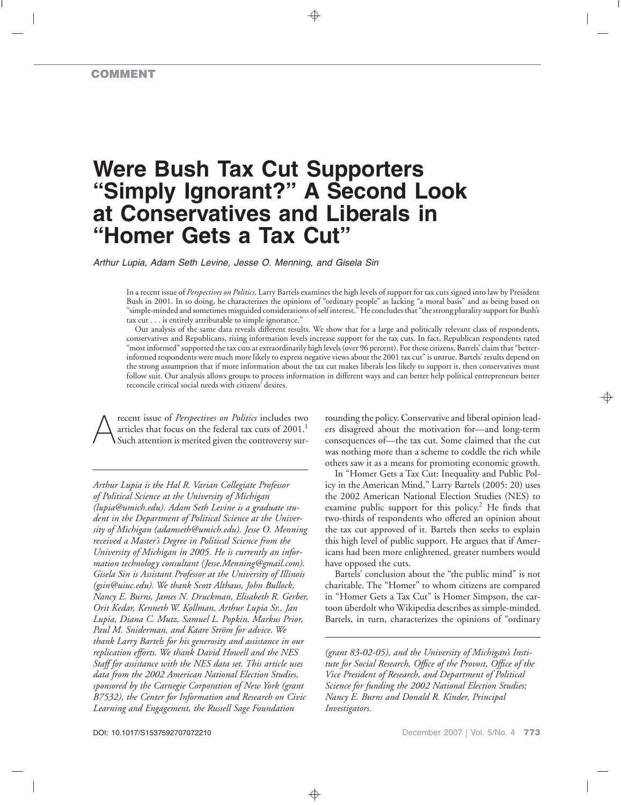# **Were Bush Tax Cut Supporters "Simply Ignorant?" A Second Look at Conservatives and Liberals in "Homer Gets a Tax Cut"**

Arthur Lupia, Adam Seth Levine, Jesse O. Menning, and Gisela Sin

In a recent issue of *Perspectives on Politics,* Larry Bartels examines the high levels of support for tax cuts signed into law by President Bush in 2001. In so doing, he characterizes the opinions of "ordinary people" as lacking "a moral basis" and as being based on "simple-minded and sometimes misguided considerations of self interest." He concludes that "the strong plurality support for Bush's tax cut . . . is entirely attributable to simple ignorance."

Our analysis of the same data reveals different results. We show that for a large and politically relevant class of respondents, conservatives and Republicans, rising information levels increase support for the tax cuts. In fact, Republican respondents rated "most informed" supported the tax cuts at extraordinarily high levels (over 96 percent). For these citizens, Bartels' claim that "betterinformed respondents were much more likely to express negative views about the 2001 tax cut" is untrue. Bartels' results depend on the strong assumption that if more information about the tax cut makes liberals less likely to support it, then conservatives must follow suit. Our analysis allows groups to process information in different ways and can better help political entrepreneurs better reconcile critical social needs with citizens' desires.

Arecent issue of *Perspectives on Politics* includes two articles that focus on the federal tax cuts of 2001.<sup>1</sup><br>Such attention is merited given the controversy surarticles that focus on the federal tax cuts of 2001.<sup>1</sup>

*Arthur Lupia is the Hal R. Varian Collegiate Professor of Political Science at the University of Michigan (lupia@umich.edu). Adam Seth Levine is a graduate student in the Department of Political Science at the University of Michigan (adamseth@umich.edu). Jesse O. Menning received a Master's Degree in Political Science from the University of Michigan in 2005. He is currently an information technolog y consultant (Jesse.Menning@gmail.com). Gisela Sin is Assistant Professor at the University of Illinois (gsin@uiuc.edu). We thank Scott Althaus, John Bullock, Nancy E. Burns, James N. Druckman, Elisabeth R. Gerber, Orit Kedar, Kenneth W. Kollman, Arthur Lupia Sr., Jan Lupia, Diana C. Mutz, Samuel L. Popkin, Markus Prior, Paul M. Sniderman, and Kaare Ström for advice. We thank Larry Bartels for his generosity and assistance in our replication efforts. We thank David Howell and the NES Staff for assistance with the NES data set. This article uses data from the 2002 American National Election Studies, sponsored by the Carnegie Corporation of New York (grant B7532), the Center for Information and Research on Civic Learning and Engagement, the Russell Sage Foundation*

rounding the policy. Conservative and liberal opinion leaders disagreed about the motivation for—and long-term consequences of—the tax cut. Some claimed that the cut was nothing more than a scheme to coddle the rich while others saw it as a means for promoting economic growth.

In "Homer Gets a Tax Cut: Inequality and Public Policy in the American Mind," Larry Bartels (2005: 20) uses the 2002 American National Election Studies (NES) to examine public support for this policy.<sup>2</sup> He finds that two-thirds of respondents who offered an opinion about the tax cut approved of it. Bartels then seeks to explain this high level of public support. He argues that if Americans had been more enlightened, greater numbers would have opposed the cuts.

Bartels' conclusion about the "the public mind" is not charitable. The "Homer" to whom citizens are compared in "Homer Gets a Tax Cut" is Homer Simpson, the cartoon überdolt who Wikipedia describes as simple-minded. Bartels, in turn, characterizes the opinions of "ordinary

*(grant 83-02-05), and the University of Michigan's Institute for Social Research, Office of the Provost, Office of the Vice President of Research, and Department of Political Science for funding the 2002 National Election Studies; Nancy E. Burns and Donald R. Kinder, Principal Investigators.*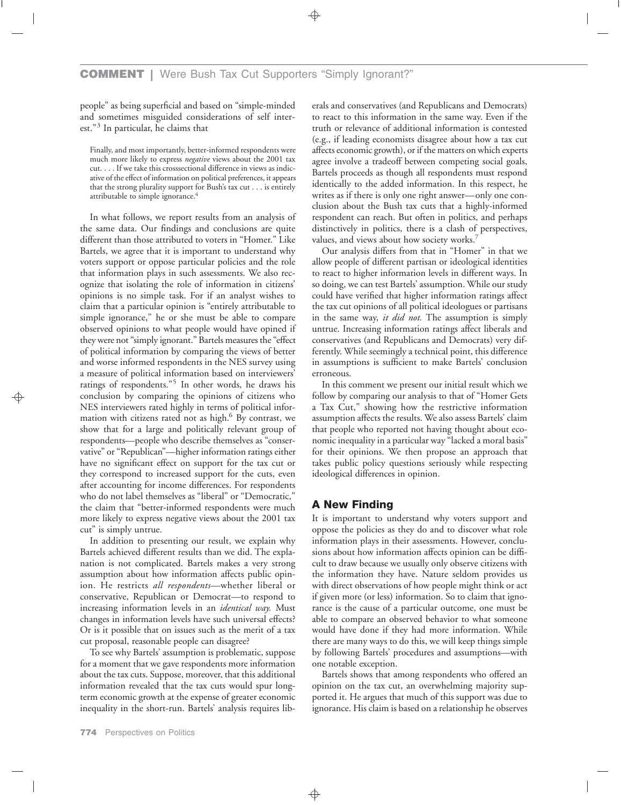people" as being superficial and based on "simple-minded and sometimes misguided considerations of self interest."<sup>3</sup> In particular, he claims that

Finally, and most importantly, better-informed respondents were much more likely to express *negative* views about the 2001 tax cut. . . . If we take this crosssectional difference in views as indicative of the effect of information on political preferences, it appears that the strong plurality support for Bush's tax cut . . . is entirely attributable to simple ignorance.<sup>4</sup>

In what follows, we report results from an analysis of the same data. Our findings and conclusions are quite different than those attributed to voters in "Homer." Like Bartels, we agree that it is important to understand why voters support or oppose particular policies and the role that information plays in such assessments. We also recognize that isolating the role of information in citizens' opinions is no simple task. For if an analyst wishes to claim that a particular opinion is "entirely attributable to simple ignorance," he or she must be able to compare observed opinions to what people would have opined if they were not "simply ignorant." Bartels measures the "effect of political information by comparing the views of better and worse informed respondents in the NES survey using a measure of political information based on interviewers' ratings of respondents."<sup>5</sup> In other words, he draws his conclusion by comparing the opinions of citizens who NES interviewers rated highly in terms of political information with citizens rated not as high.6 By contrast, we show that for a large and politically relevant group of respondents—people who describe themselves as "conservative" or "Republican"—higher information ratings either have no significant effect on support for the tax cut or they correspond to increased support for the cuts, even after accounting for income differences. For respondents who do not label themselves as "liberal" or "Democratic," the claim that "better-informed respondents were much more likely to express negative views about the 2001 tax cut" is simply untrue.

In addition to presenting our result, we explain why Bartels achieved different results than we did. The explanation is not complicated. Bartels makes a very strong assumption about how information affects public opinion. He restricts *all respondents*—whether liberal or conservative, Republican or Democrat—to respond to increasing information levels in an *identical way.* Must changes in information levels have such universal effects? Or is it possible that on issues such as the merit of a tax cut proposal, reasonable people can disagree?

To see why Bartels' assumption is problematic, suppose for a moment that we gave respondents more information about the tax cuts. Suppose, moreover, that this additional information revealed that the tax cuts would spur longterm economic growth at the expense of greater economic inequality in the short-run. Bartels' analysis requires lib-

erals and conservatives (and Republicans and Democrats) to react to this information in the same way. Even if the truth or relevance of additional information is contested (e.g., if leading economists disagree about how a tax cut affects economic growth), or if the matters on which experts agree involve a tradeoff between competing social goals, Bartels proceeds as though all respondents must respond identically to the added information. In this respect, he writes as if there is only one right answer—only one conclusion about the Bush tax cuts that a highly-informed respondent can reach. But often in politics, and perhaps distinctively in politics, there is a clash of perspectives, values, and views about how society works.<sup>7</sup>

Our analysis differs from that in "Homer" in that we allow people of different partisan or ideological identities to react to higher information levels in different ways. In so doing, we can test Bartels' assumption. While our study could have verified that higher information ratings affect the tax cut opinions of all political ideologues or partisans in the same way, *it did not.* The assumption is simply untrue. Increasing information ratings affect liberals and conservatives (and Republicans and Democrats) very differently. While seemingly a technical point, this difference in assumptions is sufficient to make Bartels' conclusion erroneous.

In this comment we present our initial result which we follow by comparing our analysis to that of "Homer Gets a Tax Cut," showing how the restrictive information assumption affects the results. We also assess Bartels' claim that people who reported not having thought about economic inequality in a particular way "lacked a moral basis" for their opinions. We then propose an approach that takes public policy questions seriously while respecting ideological differences in opinion.

# A New Finding

It is important to understand why voters support and oppose the policies as they do and to discover what role information plays in their assessments. However, conclusions about how information affects opinion can be difficult to draw because we usually only observe citizens with the information they have. Nature seldom provides us with direct observations of how people might think or act if given more (or less) information. So to claim that ignorance is the cause of a particular outcome, one must be able to compare an observed behavior to what someone would have done if they had more information. While there are many ways to do this, we will keep things simple by following Bartels' procedures and assumptions—with one notable exception.

Bartels shows that among respondents who offered an opinion on the tax cut, an overwhelming majority supported it. He argues that much of this support was due to ignorance. His claim is based on a relationship he observes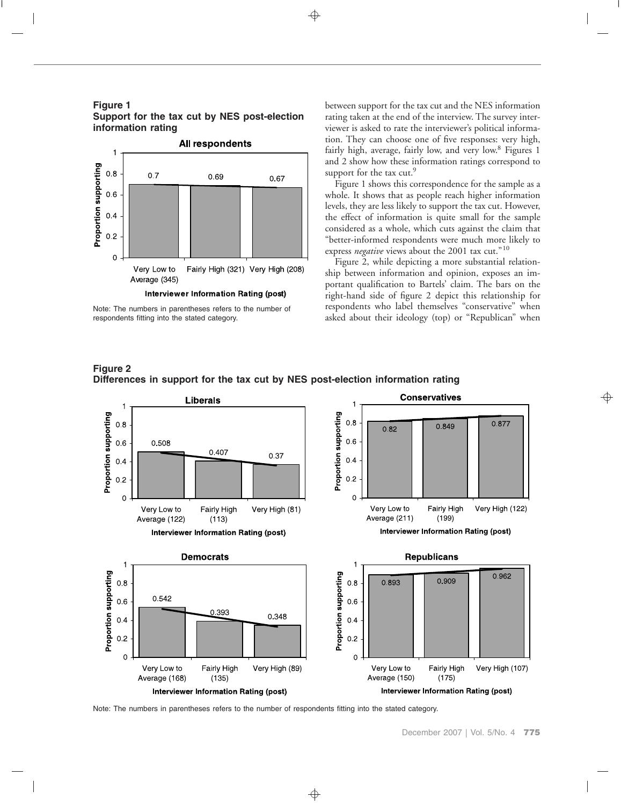#### **Figure 1 Support for the tax cut by NES post-election information rating**



Note: The numbers in parentheses refers to the number of respondents fitting into the stated category.

between support for the tax cut and the NES information rating taken at the end of the interview. The survey interviewer is asked to rate the interviewer's political information. They can choose one of five responses: very high, fairly high, average, fairly low, and very low.<sup>8</sup> Figures 1 and 2 show how these information ratings correspond to support for the tax cut.<sup>9</sup>

Figure 1 shows this correspondence for the sample as a whole. It shows that as people reach higher information levels, they are less likely to support the tax cut. However, the effect of information is quite small for the sample considered as a whole, which cuts against the claim that "better-informed respondents were much more likely to express *negative* views about the 2001 tax cut."<sup>10</sup>

Figure 2, while depicting a more substantial relationship between information and opinion, exposes an important qualification to Bartels' claim. The bars on the right-hand side of figure 2 depict this relationship for respondents who label themselves "conservative" when asked about their ideology (top) or "Republican" when

## **Figure 2 Differences in support for the tax cut by NES post-election information rating**



Note: The numbers in parentheses refers to the number of respondents fitting into the stated category.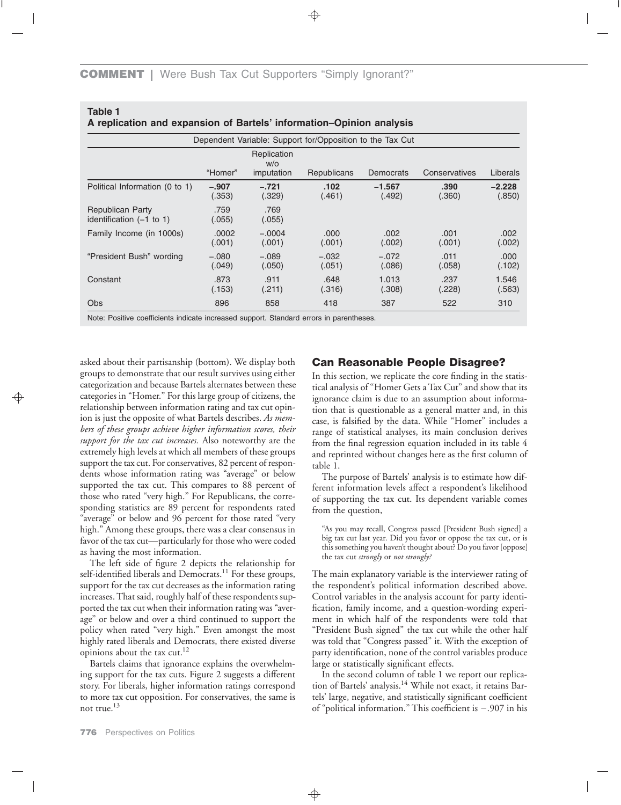|                                                 |                   |                    | Dependent Variable: Support for/Opposition to the Tax Cut |                    |                |                    |
|-------------------------------------------------|-------------------|--------------------|-----------------------------------------------------------|--------------------|----------------|--------------------|
|                                                 |                   | Replication<br>W/O |                                                           |                    |                |                    |
|                                                 | "Homer"           | imputation         | Republicans                                               | Democrats          | Conservatives  | Liberals           |
| Political Information (0 to 1)                  | $-.907$<br>(.353) | $-.721$<br>(.329)  | .102<br>(.461)                                            | $-1.567$<br>(.492) | .390<br>(.360) | $-2.228$<br>(.850) |
| Republican Party<br>identification $(-1)$ to 1) | .759<br>(.055)    | .769<br>(.055)     |                                                           |                    |                |                    |
| Family Income (in 1000s)                        | .0002<br>(.001)   | $-.0004$<br>(.001) | .000<br>(.001)                                            | .002<br>(.002)     | .001<br>(.001) | .002<br>(.002)     |
| "President Bush" wording                        | $-.080$<br>(.049) | $-.089$<br>(.050)  | $-.032$<br>(.051)                                         | $-.072$<br>(.086)  | .011<br>(.058) | .000<br>(.102)     |
| Constant                                        | .873<br>(.153)    | .911<br>(.211)     | .648<br>(.316)                                            | 1.013<br>(.308)    | .237<br>(.228) | 1.546<br>(.563)    |
| Obs                                             | 896               | 858                | 418                                                       | 387                | 522            | 310                |

| Table 1 |  |                                                                      |  |
|---------|--|----------------------------------------------------------------------|--|
|         |  | A replication and expansion of Bartels' information–Opinion analysis |  |

asked about their partisanship (bottom). We display both groups to demonstrate that our result survives using either categorization and because Bartels alternates between these categories in "Homer." For this large group of citizens, the relationship between information rating and tax cut opinion is just the opposite of what Bartels describes. *As members of these groups achieve higher information scores, their support for the tax cut increases.* Also noteworthy are the extremely high levels at which all members of these groups support the tax cut. For conservatives, 82 percent of respondents whose information rating was "average" or below supported the tax cut. This compares to 88 percent of those who rated "very high." For Republicans, the corresponding statistics are 89 percent for respondents rated "average" or below and 96 percent for those rated "very high." Among these groups, there was a clear consensus in favor of the tax cut—particularly for those who were coded as having the most information.

The left side of figure 2 depicts the relationship for self-identified liberals and Democrats.<sup>11</sup> For these groups, support for the tax cut decreases as the information rating increases. That said, roughly half of these respondents supported the tax cut when their information rating was "average" or below and over a third continued to support the policy when rated "very high." Even amongst the most highly rated liberals and Democrats, there existed diverse opinions about the tax  $cut.<sup>12</sup>$ 

Bartels claims that ignorance explains the overwhelming support for the tax cuts. Figure 2 suggests a different story. For liberals, higher information ratings correspond to more tax cut opposition. For conservatives, the same is not true.13

# Can Reasonable People Disagree?

In this section, we replicate the core finding in the statistical analysis of "Homer Gets a Tax Cut" and show that its ignorance claim is due to an assumption about information that is questionable as a general matter and, in this case, is falsified by the data. While "Homer" includes a range of statistical analyses, its main conclusion derives from the final regression equation included in its table 4 and reprinted without changes here as the first column of table 1.

The purpose of Bartels' analysis is to estimate how different information levels affect a respondent's likelihood of supporting the tax cut. Its dependent variable comes from the question,

"As you may recall, Congress passed [President Bush signed] a big tax cut last year. Did you favor or oppose the tax cut, or is this something you haven't thought about? Do you favor [oppose] the tax cut *strongly* or *not strongly?*

The main explanatory variable is the interviewer rating of the respondent's political information described above. Control variables in the analysis account for party identification, family income, and a question-wording experiment in which half of the respondents were told that "President Bush signed" the tax cut while the other half was told that "Congress passed" it. With the exception of party identification, none of the control variables produce large or statistically significant effects.

In the second column of table 1 we report our replication of Bartels' analysis.<sup>14</sup> While not exact, it retains Bartels' large, negative, and statistically significant coefficient of "political information." This coefficient is  $-.907$  in his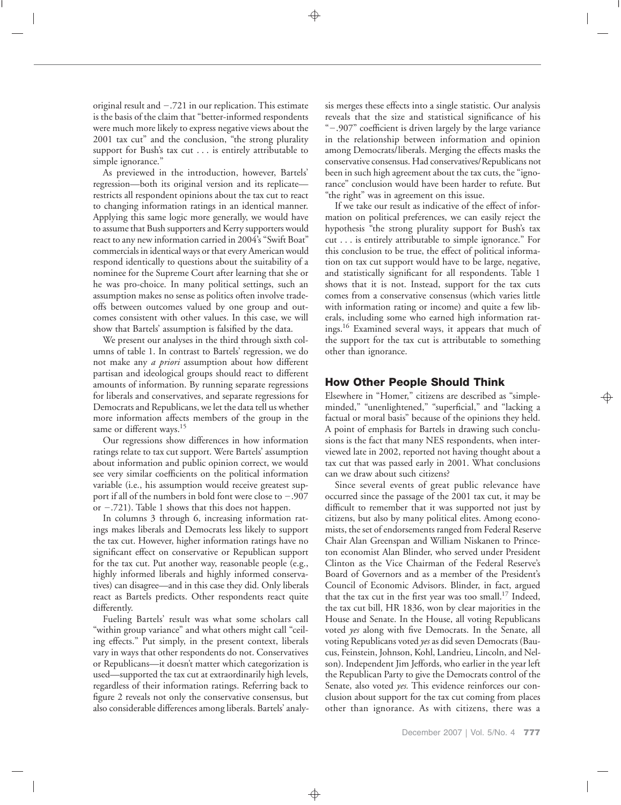original result and  $-.721$  in our replication. This estimate is the basis of the claim that "better-informed respondents were much more likely to express negative views about the 2001 tax cut" and the conclusion, "the strong plurality support for Bush's tax cut . . . is entirely attributable to simple ignorance."

As previewed in the introduction, however, Bartels' regression—both its original version and its replicate restricts all respondent opinions about the tax cut to react to changing information ratings in an identical manner. Applying this same logic more generally, we would have to assume that Bush supporters and Kerry supporters would react to any new information carried in 2004's "Swift Boat" commercials in identical ways or that every American would respond identically to questions about the suitability of a nominee for the Supreme Court after learning that she or he was pro-choice. In many political settings, such an assumption makes no sense as politics often involve tradeoffs between outcomes valued by one group and outcomes consistent with other values. In this case, we will show that Bartels' assumption is falsified by the data.

We present our analyses in the third through sixth columns of table 1. In contrast to Bartels' regression, we do not make any *a priori* assumption about how different partisan and ideological groups should react to different amounts of information. By running separate regressions for liberals and conservatives, and separate regressions for Democrats and Republicans, we let the data tell us whether more information affects members of the group in the same or different ways.<sup>15</sup>

Our regressions show differences in how information ratings relate to tax cut support. Were Bartels' assumption about information and public opinion correct, we would see very similar coefficients on the political information variable (i.e., his assumption would receive greatest support if all of the numbers in bold font were close to  $-.907$ or  $-.721$ ). Table 1 shows that this does not happen.

In columns 3 through 6, increasing information ratings makes liberals and Democrats less likely to support the tax cut. However, higher information ratings have no significant effect on conservative or Republican support for the tax cut. Put another way, reasonable people (e.g., highly informed liberals and highly informed conservatives) can disagree—and in this case they did. Only liberals react as Bartels predicts. Other respondents react quite differently.

Fueling Bartels' result was what some scholars call "within group variance" and what others might call "ceiling effects." Put simply, in the present context, liberals vary in ways that other respondents do not. Conservatives or Republicans—it doesn't matter which categorization is used—supported the tax cut at extraordinarily high levels, regardless of their information ratings. Referring back to figure 2 reveals not only the conservative consensus, but also considerable differences among liberals. Bartels' analysis merges these effects into a single statistic. Our analysis reveals that the size and statistical significance of his " $-0.907$ " coefficient is driven largely by the large variance in the relationship between information and opinion among Democrats/liberals. Merging the effects masks the conservative consensus. Had conservatives/Republicans not been in such high agreement about the tax cuts, the "ignorance" conclusion would have been harder to refute. But "the right" was in agreement on this issue.

If we take our result as indicative of the effect of information on political preferences, we can easily reject the hypothesis "the strong plurality support for Bush's tax cut . . . is entirely attributable to simple ignorance." For this conclusion to be true, the effect of political information on tax cut support would have to be large, negative, and statistically significant for all respondents. Table 1 shows that it is not. Instead, support for the tax cuts comes from a conservative consensus (which varies little with information rating or income) and quite a few liberals, including some who earned high information ratings.16 Examined several ways, it appears that much of the support for the tax cut is attributable to something other than ignorance.

## How Other People Should Think

Elsewhere in "Homer," citizens are described as "simpleminded," "unenlightened," "superficial," and "lacking a factual or moral basis" because of the opinions they held. A point of emphasis for Bartels in drawing such conclusions is the fact that many NES respondents, when interviewed late in 2002, reported not having thought about a tax cut that was passed early in 2001. What conclusions can we draw about such citizens?

Since several events of great public relevance have occurred since the passage of the 2001 tax cut, it may be difficult to remember that it was supported not just by citizens, but also by many political elites. Among economists, the set of endorsements ranged from Federal Reserve Chair Alan Greenspan and William Niskanen to Princeton economist Alan Blinder, who served under President Clinton as the Vice Chairman of the Federal Reserve's Board of Governors and as a member of the President's Council of Economic Advisors. Blinder, in fact, argued that the tax cut in the first year was too small.<sup>17</sup> Indeed, the tax cut bill, HR 1836, won by clear majorities in the House and Senate. In the House, all voting Republicans voted *yes* along with five Democrats. In the Senate, all voting Republicans voted *yes* as did seven Democrats (Baucus, Feinstein, Johnson, Kohl, Landrieu, Lincoln, and Nelson). Independent Jim Jeffords, who earlier in the year left the Republican Party to give the Democrats control of the Senate, also voted *yes.* This evidence reinforces our conclusion about support for the tax cut coming from places other than ignorance. As with citizens, there was a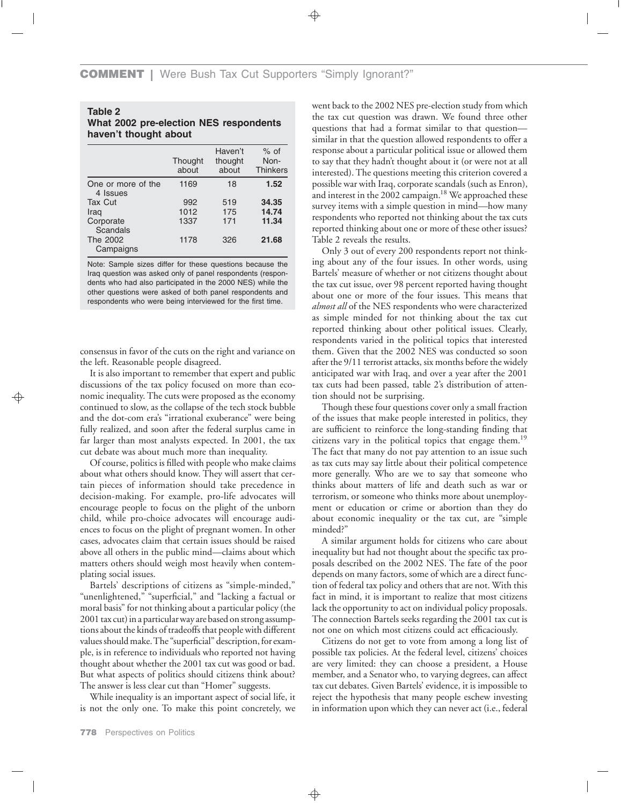#### **Table 2 What 2002 pre-election NES respondents haven't thought about**

|                                | Thought | Haven't<br>thought | $%$ of<br>Non-  |
|--------------------------------|---------|--------------------|-----------------|
|                                | about   | about              | <b>Thinkers</b> |
| One or more of the<br>4 Issues | 1169    | 18                 | 1.52            |
| Tax Cut                        | 992     | 519                | 34.35           |
| Iraq                           | 1012    | 175                | 14.74           |
| Corporate<br><b>Scandals</b>   | 1337    | 171                | 11.34           |
| The 2002<br>Campaigns          | 1178    | 326                | 21.68           |

Note: Sample sizes differ for these questions because the Iraq question was asked only of panel respondents (respondents who had also participated in the 2000 NES) while the other questions were asked of both panel respondents and respondents who were being interviewed for the first time.

consensus in favor of the cuts on the right and variance on the left. Reasonable people disagreed.

It is also important to remember that expert and public discussions of the tax policy focused on more than economic inequality. The cuts were proposed as the economy continued to slow, as the collapse of the tech stock bubble and the dot-com era's "irrational exuberance" were being fully realized, and soon after the federal surplus came in far larger than most analysts expected. In 2001, the tax cut debate was about much more than inequality.

Of course, politics is filled with people who make claims about what others should know. They will assert that certain pieces of information should take precedence in decision-making. For example, pro-life advocates will encourage people to focus on the plight of the unborn child, while pro-choice advocates will encourage audiences to focus on the plight of pregnant women. In other cases, advocates claim that certain issues should be raised above all others in the public mind—claims about which matters others should weigh most heavily when contemplating social issues.

Bartels' descriptions of citizens as "simple-minded," "unenlightened," "superficial," and "lacking a factual or moral basis" for not thinking about a particular policy (the 2001 tax cut) in a particular way are based on strong assumptions about the kinds of tradeoffs that people with different values should make. The "superficial" description, for example, is in reference to individuals who reported not having thought about whether the 2001 tax cut was good or bad. But what aspects of politics should citizens think about? The answer is less clear cut than "Homer" suggests.

While inequality is an important aspect of social life, it is not the only one. To make this point concretely, we went back to the 2002 NES pre-election study from which the tax cut question was drawn. We found three other questions that had a format similar to that question similar in that the question allowed respondents to offer a response about a particular political issue or allowed them to say that they hadn't thought about it (or were not at all interested). The questions meeting this criterion covered a possible war with Iraq, corporate scandals (such as Enron), and interest in the 2002 campaign.<sup>18</sup> We approached these survey items with a simple question in mind—how many respondents who reported not thinking about the tax cuts reported thinking about one or more of these other issues? Table 2 reveals the results.

Only 3 out of every 200 respondents report not thinking about any of the four issues. In other words, using Bartels' measure of whether or not citizens thought about the tax cut issue, over 98 percent reported having thought about one or more of the four issues. This means that *almost all* of the NES respondents who were characterized as simple minded for not thinking about the tax cut reported thinking about other political issues. Clearly, respondents varied in the political topics that interested them. Given that the 2002 NES was conducted so soon after the 9/11 terrorist attacks, six months before the widely anticipated war with Iraq, and over a year after the 2001 tax cuts had been passed, table 2's distribution of attention should not be surprising.

Though these four questions cover only a small fraction of the issues that make people interested in politics, they are sufficient to reinforce the long-standing finding that citizens vary in the political topics that engage them.19 The fact that many do not pay attention to an issue such as tax cuts may say little about their political competence more generally. Who are we to say that someone who thinks about matters of life and death such as war or terrorism, or someone who thinks more about unemployment or education or crime or abortion than they do about economic inequality or the tax cut, are "simple minded?"

A similar argument holds for citizens who care about inequality but had not thought about the specific tax proposals described on the 2002 NES. The fate of the poor depends on many factors, some of which are a direct function of federal tax policy and others that are not. With this fact in mind, it is important to realize that most citizens lack the opportunity to act on individual policy proposals. The connection Bartels seeks regarding the 2001 tax cut is not one on which most citizens could act efficaciously.

Citizens do not get to vote from among a long list of possible tax policies. At the federal level, citizens' choices are very limited: they can choose a president, a House member, and a Senator who, to varying degrees, can affect tax cut debates. Given Bartels' evidence, it is impossible to reject the hypothesis that many people eschew investing in information upon which they can never act (i.e., federal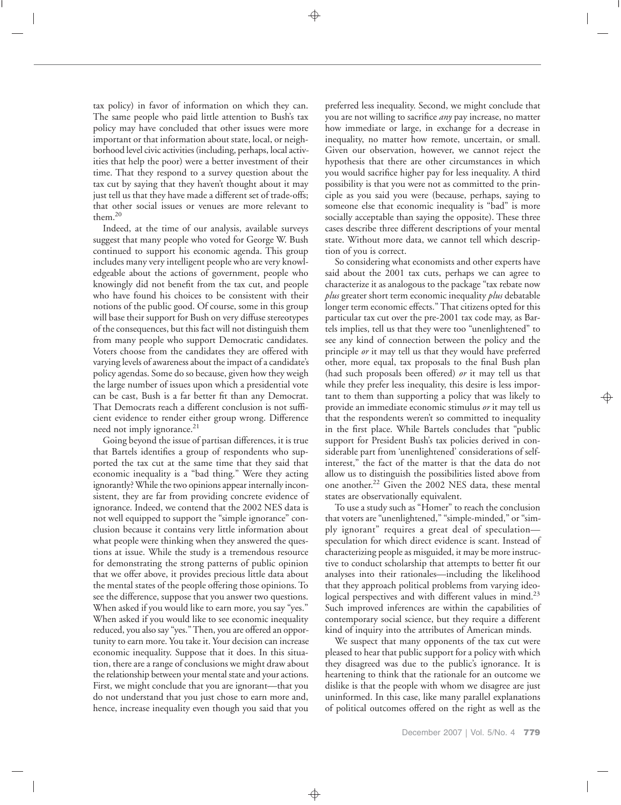tax policy) in favor of information on which they can. The same people who paid little attention to Bush's tax policy may have concluded that other issues were more important or that information about state, local, or neighborhood level civic activities (including, perhaps, local activities that help the poor) were a better investment of their time. That they respond to a survey question about the tax cut by saying that they haven't thought about it may just tell us that they have made a different set of trade-offs; that other social issues or venues are more relevant to them.20

Indeed, at the time of our analysis, available surveys suggest that many people who voted for George W. Bush continued to support his economic agenda. This group includes many very intelligent people who are very knowledgeable about the actions of government, people who knowingly did not benefit from the tax cut, and people who have found his choices to be consistent with their notions of the public good. Of course, some in this group will base their support for Bush on very diffuse stereotypes of the consequences, but this fact will not distinguish them from many people who support Democratic candidates. Voters choose from the candidates they are offered with varying levels of awareness about the impact of a candidate's policy agendas. Some do so because, given how they weigh the large number of issues upon which a presidential vote can be cast, Bush is a far better fit than any Democrat. That Democrats reach a different conclusion is not sufficient evidence to render either group wrong. Difference need not imply ignorance.<sup>21</sup>

Going beyond the issue of partisan differences, it is true that Bartels identifies a group of respondents who supported the tax cut at the same time that they said that economic inequality is a "bad thing." Were they acting ignorantly?While the two opinions appear internally inconsistent, they are far from providing concrete evidence of ignorance. Indeed, we contend that the 2002 NES data is not well equipped to support the "simple ignorance" conclusion because it contains very little information about what people were thinking when they answered the questions at issue. While the study is a tremendous resource for demonstrating the strong patterns of public opinion that we offer above, it provides precious little data about the mental states of the people offering those opinions. To see the difference, suppose that you answer two questions. When asked if you would like to earn more, you say "yes." When asked if you would like to see economic inequality reduced, you also say "yes." Then, you are offered an opportunity to earn more. You take it. Your decision can increase economic inequality. Suppose that it does. In this situation, there are a range of conclusions we might draw about the relationship between your mental state and your actions. First, we might conclude that you are ignorant—that you do not understand that you just chose to earn more and, hence, increase inequality even though you said that you

preferred less inequality. Second, we might conclude that you are not willing to sacrifice *any* pay increase, no matter how immediate or large, in exchange for a decrease in inequality, no matter how remote, uncertain, or small. Given our observation, however, we cannot reject the hypothesis that there are other circumstances in which you would sacrifice higher pay for less inequality. A third possibility is that you were not as committed to the principle as you said you were (because, perhaps, saying to someone else that economic inequality is "bad" is more socially acceptable than saying the opposite). These three cases describe three different descriptions of your mental state. Without more data, we cannot tell which description of you is correct.

So considering what economists and other experts have said about the 2001 tax cuts, perhaps we can agree to characterize it as analogous to the package "tax rebate now *plus* greater short term economic inequality *plus* debatable longer term economic effects." That citizens opted for this particular tax cut over the pre-2001 tax code may, as Bartels implies, tell us that they were too "unenlightened" to see any kind of connection between the policy and the principle *or* it may tell us that they would have preferred other, more equal, tax proposals to the final Bush plan (had such proposals been offered) *or* it may tell us that while they prefer less inequality, this desire is less important to them than supporting a policy that was likely to provide an immediate economic stimulus *or* it may tell us that the respondents weren't so committed to inequality in the first place. While Bartels concludes that "public support for President Bush's tax policies derived in considerable part from 'unenlightened' considerations of selfinterest," the fact of the matter is that the data do not allow us to distinguish the possibilities listed above from one another.<sup>22</sup> Given the 2002 NES data, these mental states are observationally equivalent.

To use a study such as "Homer" to reach the conclusion that voters are "unenlightened," "simple-minded," or "simply ignorant" requires a great deal of speculation speculation for which direct evidence is scant. Instead of characterizing people as misguided, it may be more instructive to conduct scholarship that attempts to better fit our analyses into their rationales—including the likelihood that they approach political problems from varying ideological perspectives and with different values in mind.<sup>23</sup> Such improved inferences are within the capabilities of contemporary social science, but they require a different kind of inquiry into the attributes of American minds.

We suspect that many opponents of the tax cut were pleased to hear that public support for a policy with which they disagreed was due to the public's ignorance. It is heartening to think that the rationale for an outcome we dislike is that the people with whom we disagree are just uninformed. In this case, like many parallel explanations of political outcomes offered on the right as well as the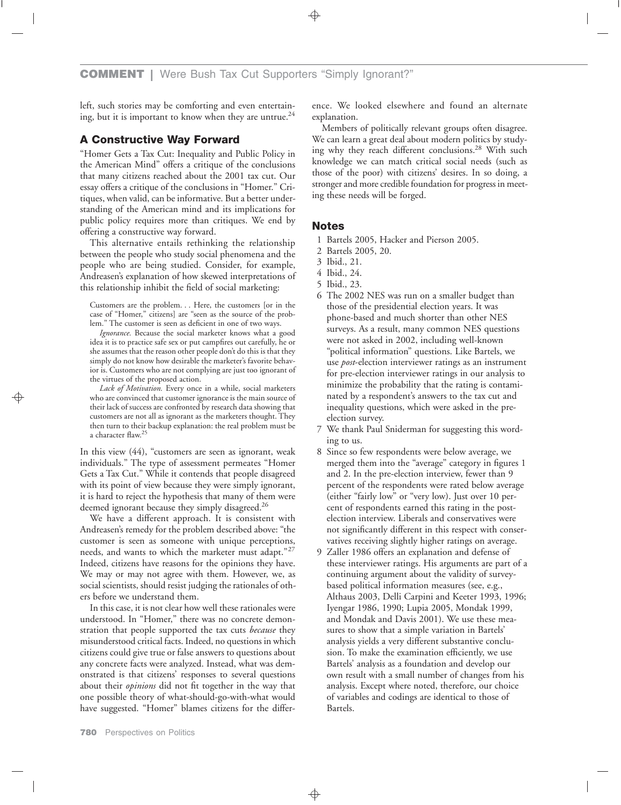left, such stories may be comforting and even entertaining, but it is important to know when they are untrue.<sup>24</sup>

## A Constructive Way Forward

"Homer Gets a Tax Cut: Inequality and Public Policy in the American Mind" offers a critique of the conclusions that many citizens reached about the 2001 tax cut. Our essay offers a critique of the conclusions in "Homer." Critiques, when valid, can be informative. But a better understanding of the American mind and its implications for public policy requires more than critiques. We end by offering a constructive way forward.

This alternative entails rethinking the relationship between the people who study social phenomena and the people who are being studied. Consider, for example, Andreasen's explanation of how skewed interpretations of this relationship inhibit the field of social marketing:

Customers are the problem. . . Here, the customers [or in the case of "Homer," citizens] are "seen as the source of the problem." The customer is seen as deficient in one of two ways.

*Ignorance.* Because the social marketer knows what a good idea it is to practice safe sex or put campfires out carefully, he or she assumes that the reason other people don't do this is that they simply do not know how desirable the marketer's favorite behavior is. Customers who are not complying are just too ignorant of the virtues of the proposed action.

*Lack of Motivation.* Every once in a while, social marketers who are convinced that customer ignorance is the main source of their lack of success are confronted by research data showing that customers are not all as ignorant as the marketers thought. They then turn to their backup explanation: the real problem must be a character flaw.25

In this view (44), "customers are seen as ignorant, weak individuals." The type of assessment permeates "Homer Gets a Tax Cut." While it contends that people disagreed with its point of view because they were simply ignorant, it is hard to reject the hypothesis that many of them were deemed ignorant because they simply disagreed.<sup>26</sup>

We have a different approach. It is consistent with Andreasen's remedy for the problem described above: "the customer is seen as someone with unique perceptions, needs, and wants to which the marketer must adapt."<sup>27</sup> Indeed, citizens have reasons for the opinions they have. We may or may not agree with them. However, we, as social scientists, should resist judging the rationales of others before we understand them.

In this case, it is not clear how well these rationales were understood. In "Homer," there was no concrete demonstration that people supported the tax cuts *because* they misunderstood critical facts. Indeed, no questions in which citizens could give true or false answers to questions about any concrete facts were analyzed. Instead, what was demonstrated is that citizens' responses to several questions about their *opinions* did not fit together in the way that one possible theory of what-should-go-with-what would have suggested. "Homer" blames citizens for the difference. We looked elsewhere and found an alternate explanation.

Members of politically relevant groups often disagree. We can learn a great deal about modern politics by studying why they reach different conclusions.<sup>28</sup> With such knowledge we can match critical social needs (such as those of the poor) with citizens' desires. In so doing, a stronger and more credible foundation for progress in meeting these needs will be forged.

### Notes

- 1 Bartels 2005, Hacker and Pierson 2005.
- 2 Bartels 2005, 20.
- 3 Ibid., 21.
- 4 Ibid., 24.
- 5 Ibid., 23.
- 6 The 2002 NES was run on a smaller budget than those of the presidential election years. It was phone-based and much shorter than other NES surveys. As a result, many common NES questions were not asked in 2002, including well-known "political information" questions. Like Bartels, we use *post*-election interviewer ratings as an instrument for pre-election interviewer ratings in our analysis to minimize the probability that the rating is contaminated by a respondent's answers to the tax cut and inequality questions, which were asked in the preelection survey.
- 7 We thank Paul Sniderman for suggesting this wording to us.
- 8 Since so few respondents were below average, we merged them into the "average" category in figures 1 and 2. In the pre-election interview, fewer than 9 percent of the respondents were rated below average (either "fairly low" or "very low). Just over 10 percent of respondents earned this rating in the postelection interview. Liberals and conservatives were not significantly different in this respect with conservatives receiving slightly higher ratings on average.
- 9 Zaller 1986 offers an explanation and defense of these interviewer ratings. His arguments are part of a continuing argument about the validity of surveybased political information measures (see, e.g., Althaus 2003, Delli Carpini and Keeter 1993, 1996; Iyengar 1986, 1990; Lupia 2005, Mondak 1999, and Mondak and Davis 2001). We use these measures to show that a simple variation in Bartels' analysis yields a very different substantive conclusion. To make the examination efficiently, we use Bartels' analysis as a foundation and develop our own result with a small number of changes from his analysis. Except where noted, therefore, our choice of variables and codings are identical to those of Bartels.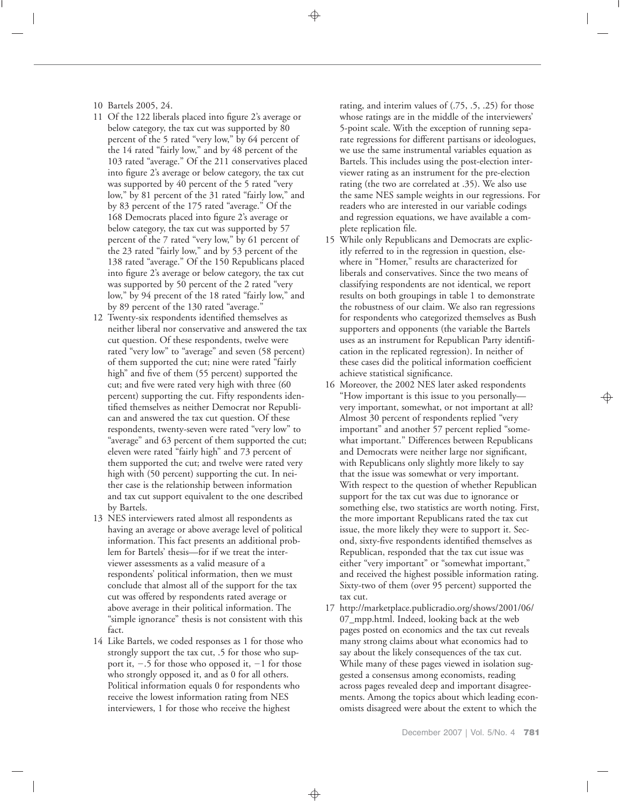10 Bartels 2005, 24.

- 11 Of the 122 liberals placed into figure 2's average or below category, the tax cut was supported by 80 percent of the 5 rated "very low," by 64 percent of the 14 rated "fairly low," and by 48 percent of the 103 rated "average." Of the 211 conservatives placed into figure 2's average or below category, the tax cut was supported by 40 percent of the 5 rated "very low," by 81 percent of the 31 rated "fairly low," and by 83 percent of the 175 rated "average." Of the 168 Democrats placed into figure 2's average or below category, the tax cut was supported by 57 percent of the 7 rated "very low," by 61 percent of the 23 rated "fairly low," and by 53 percent of the 138 rated "average." Of the 150 Republicans placed into figure 2's average or below category, the tax cut was supported by 50 percent of the 2 rated "very low," by 94 precent of the 18 rated "fairly low," and by 89 percent of the 130 rated "average."
- 12 Twenty-six respondents identified themselves as neither liberal nor conservative and answered the tax cut question. Of these respondents, twelve were rated "very low" to "average" and seven (58 percent) of them supported the cut; nine were rated "fairly high" and five of them (55 percent) supported the cut; and five were rated very high with three (60 percent) supporting the cut. Fifty respondents identified themselves as neither Democrat nor Republican and answered the tax cut question. Of these respondents, twenty-seven were rated "very low" to "average" and 63 percent of them supported the cut; eleven were rated "fairly high" and 73 percent of them supported the cut; and twelve were rated very high with (50 percent) supporting the cut. In neither case is the relationship between information and tax cut support equivalent to the one described by Bartels.
- 13 NES interviewers rated almost all respondents as having an average or above average level of political information. This fact presents an additional problem for Bartels' thesis—for if we treat the interviewer assessments as a valid measure of a respondents' political information, then we must conclude that almost all of the support for the tax cut was offered by respondents rated average or above average in their political information. The "simple ignorance" thesis is not consistent with this fact.
- 14 Like Bartels, we coded responses as 1 for those who strongly support the tax cut, .5 for those who support it,  $-.5$  for those who opposed it,  $-1$  for those who strongly opposed it, and as 0 for all others. Political information equals 0 for respondents who receive the lowest information rating from NES interviewers, 1 for those who receive the highest

rating, and interim values of (.75, .5, .25) for those whose ratings are in the middle of the interviewers' 5-point scale. With the exception of running separate regressions for different partisans or ideologues, we use the same instrumental variables equation as Bartels. This includes using the post-election interviewer rating as an instrument for the pre-election rating (the two are correlated at .35). We also use the same NES sample weights in our regressions. For readers who are interested in our variable codings and regression equations, we have available a complete replication file.

- 15 While only Republicans and Democrats are explicitly referred to in the regression in question, elsewhere in "Homer," results are characterized for liberals and conservatives. Since the two means of classifying respondents are not identical, we report results on both groupings in table 1 to demonstrate the robustness of our claim. We also ran regressions for respondents who categorized themselves as Bush supporters and opponents (the variable the Bartels uses as an instrument for Republican Party identification in the replicated regression). In neither of these cases did the political information coefficient achieve statistical significance.
- 16 Moreover, the 2002 NES later asked respondents "How important is this issue to you personally very important, somewhat, or not important at all? Almost 30 percent of respondents replied "very important" and another 57 percent replied "somewhat important." Differences between Republicans and Democrats were neither large nor significant, with Republicans only slightly more likely to say that the issue was somewhat or very important. With respect to the question of whether Republican support for the tax cut was due to ignorance or something else, two statistics are worth noting. First, the more important Republicans rated the tax cut issue, the more likely they were to support it. Second, sixty-five respondents identified themselves as Republican, responded that the tax cut issue was either "very important" or "somewhat important," and received the highest possible information rating. Sixty-two of them (over 95 percent) supported the tax cut.
- 17 http://marketplace.publicradio.org/shows/2001/06/ 07\_mpp.html. Indeed, looking back at the web pages posted on economics and the tax cut reveals many strong claims about what economics had to say about the likely consequences of the tax cut. While many of these pages viewed in isolation suggested a consensus among economists, reading across pages revealed deep and important disagreements. Among the topics about which leading economists disagreed were about the extent to which the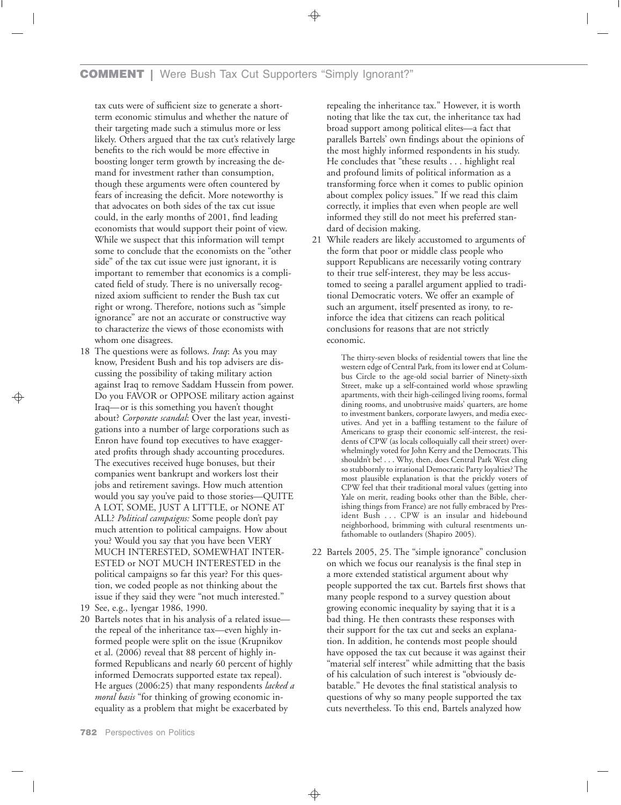# **COMMENT** | Were Bush Tax Cut Supporters "Simply Ignorant?"

tax cuts were of sufficient size to generate a shortterm economic stimulus and whether the nature of their targeting made such a stimulus more or less likely. Others argued that the tax cut's relatively large benefits to the rich would be more effective in boosting longer term growth by increasing the demand for investment rather than consumption, though these arguments were often countered by fears of increasing the deficit. More noteworthy is that advocates on both sides of the tax cut issue could, in the early months of 2001, find leading economists that would support their point of view. While we suspect that this information will tempt some to conclude that the economists on the "other side" of the tax cut issue were just ignorant, it is important to remember that economics is a complicated field of study. There is no universally recognized axiom sufficient to render the Bush tax cut right or wrong. Therefore, notions such as "simple ignorance" are not an accurate or constructive way to characterize the views of those economists with whom one disagrees.

- 18 The questions were as follows. *Iraq*: As you may know, President Bush and his top advisers are discussing the possibility of taking military action against Iraq to remove Saddam Hussein from power. Do you FAVOR or OPPOSE military action against Iraq—or is this something you haven't thought about? *Corporate scandal*: Over the last year, investigations into a number of large corporations such as Enron have found top executives to have exaggerated profits through shady accounting procedures. The executives received huge bonuses, but their companies went bankrupt and workers lost their jobs and retirement savings. How much attention would you say you've paid to those stories—QUITE A LOT, SOME, JUST A LITTLE, or NONE AT ALL? *Political campaigns:* Some people don't pay much attention to political campaigns. How about you? Would you say that you have been VERY MUCH INTERESTED, SOMEWHAT INTER-ESTED or NOT MUCH INTERESTED in the political campaigns so far this year? For this question, we coded people as not thinking about the issue if they said they were "not much interested."
- 19 See, e.g., Iyengar 1986, 1990.
- 20 Bartels notes that in his analysis of a related issue the repeal of the inheritance tax—even highly informed people were split on the issue (Krupnikov et al. (2006) reveal that 88 percent of highly informed Republicans and nearly 60 percent of highly informed Democrats supported estate tax repeal). He argues (2006:25) that many respondents *lacked a moral basis* "for thinking of growing economic inequality as a problem that might be exacerbated by

repealing the inheritance tax." However, it is worth noting that like the tax cut, the inheritance tax had broad support among political elites—a fact that parallels Bartels' own findings about the opinions of the most highly informed respondents in his study. He concludes that "these results . . . highlight real and profound limits of political information as a transforming force when it comes to public opinion about complex policy issues." If we read this claim correctly, it implies that even when people are well informed they still do not meet his preferred standard of decision making.

21 While readers are likely accustomed to arguments of the form that poor or middle class people who support Republicans are necessarily voting contrary to their true self-interest, they may be less accustomed to seeing a parallel argument applied to traditional Democratic voters. We offer an example of such an argument, itself presented as irony, to reinforce the idea that citizens can reach political conclusions for reasons that are not strictly economic.

> The thirty-seven blocks of residential towers that line the western edge of Central Park, from its lower end at Columbus Circle to the age-old social barrier of Ninety-sixth Street, make up a self-contained world whose sprawling apartments, with their high-ceilinged living rooms, formal dining rooms, and unobtrusive maids' quarters, are home to investment bankers, corporate lawyers, and media executives. And yet in a baffling testament to the failure of Americans to grasp their economic self-interest, the residents of CPW (as locals colloquially call their street) overwhelmingly voted for John Kerry and the Democrats. This shouldn't be! . . . Why, then, does Central Park West cling so stubbornly to irrational Democratic Party loyalties? The most plausible explanation is that the prickly voters of CPW feel that their traditional moral values (getting into Yale on merit, reading books other than the Bible, cherishing things from France) are not fully embraced by President Bush . . . CPW is an insular and hidebound neighborhood, brimming with cultural resentments unfathomable to outlanders (Shapiro 2005).

22 Bartels 2005, 25. The "simple ignorance" conclusion on which we focus our reanalysis is the final step in a more extended statistical argument about why people supported the tax cut. Bartels first shows that many people respond to a survey question about growing economic inequality by saying that it is a bad thing. He then contrasts these responses with their support for the tax cut and seeks an explanation. In addition, he contends most people should have opposed the tax cut because it was against their "material self interest" while admitting that the basis of his calculation of such interest is "obviously debatable." He devotes the final statistical analysis to questions of why so many people supported the tax cuts nevertheless. To this end, Bartels analyzed how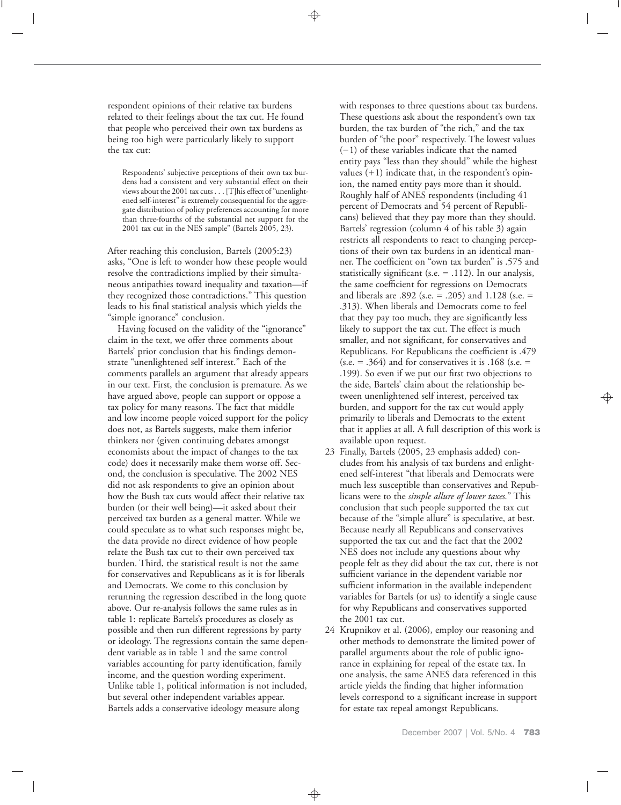respondent opinions of their relative tax burdens related to their feelings about the tax cut. He found that people who perceived their own tax burdens as being too high were particularly likely to support the tax cut:

Respondents' subjective perceptions of their own tax burdens had a consistent and very substantial effect on their views about the 2001 tax cuts . . . [T]his effect of "unenlightened self-interest" is extremely consequential for the aggregate distribution of policy preferences accounting for more than three-fourths of the substantial net support for the 2001 tax cut in the NES sample" (Bartels 2005, 23).

After reaching this conclusion, Bartels (2005:23) asks, "One is left to wonder how these people would resolve the contradictions implied by their simultaneous antipathies toward inequality and taxation—if they recognized those contradictions." This question leads to his final statistical analysis which yields the "simple ignorance" conclusion.

Having focused on the validity of the "ignorance" claim in the text, we offer three comments about Bartels' prior conclusion that his findings demonstrate "unenlightened self interest." Each of the comments parallels an argument that already appears in our text. First, the conclusion is premature. As we have argued above, people can support or oppose a tax policy for many reasons. The fact that middle and low income people voiced support for the policy does not, as Bartels suggests, make them inferior thinkers nor (given continuing debates amongst economists about the impact of changes to the tax code) does it necessarily make them worse off. Second, the conclusion is speculative. The 2002 NES did not ask respondents to give an opinion about how the Bush tax cuts would affect their relative tax burden (or their well being)—it asked about their perceived tax burden as a general matter. While we could speculate as to what such responses might be, the data provide no direct evidence of how people relate the Bush tax cut to their own perceived tax burden. Third, the statistical result is not the same for conservatives and Republicans as it is for liberals and Democrats. We come to this conclusion by rerunning the regression described in the long quote above. Our re-analysis follows the same rules as in table 1: replicate Bartels's procedures as closely as possible and then run different regressions by party or ideology. The regressions contain the same dependent variable as in table 1 and the same control variables accounting for party identification, family income, and the question wording experiment. Unlike table 1, political information is not included, but several other independent variables appear. Bartels adds a conservative ideology measure along

with responses to three questions about tax burdens. These questions ask about the respondent's own tax burden, the tax burden of "the rich," and the tax burden of "the poor" respectively. The lowest values  $(-1)$  of these variables indicate that the named entity pays "less than they should" while the highest values  $(+1)$  indicate that, in the respondent's opinion, the named entity pays more than it should. Roughly half of ANES respondents (including 41 percent of Democrats and 54 percent of Republicans) believed that they pay more than they should. Bartels' regression (column 4 of his table 3) again restricts all respondents to react to changing perceptions of their own tax burdens in an identical manner. The coefficient on "own tax burden" is .575 and statistically significant (s.e.  $=$  .112). In our analysis, the same coefficient for regressions on Democrats and liberals are .892 (s.e.  $=$  .205) and 1.128 (s.e.  $=$ .313). When liberals and Democrats come to feel that they pay too much, they are significantly less likely to support the tax cut. The effect is much smaller, and not significant, for conservatives and Republicans. For Republicans the coefficient is .479  $(s.e. = .364)$  and for conservatives it is .168 (s.e.  $=$ .199). So even if we put our first two objections to the side, Bartels' claim about the relationship between unenlightened self interest, perceived tax burden, and support for the tax cut would apply primarily to liberals and Democrats to the extent that it applies at all. A full description of this work is available upon request.

- 23 Finally, Bartels (2005, 23 emphasis added) concludes from his analysis of tax burdens and enlightened self-interest "that liberals and Democrats were much less susceptible than conservatives and Republicans were to the *simple allure of lower taxes.*" This conclusion that such people supported the tax cut because of the "simple allure" is speculative, at best. Because nearly all Republicans and conservatives supported the tax cut and the fact that the 2002 NES does not include any questions about why people felt as they did about the tax cut, there is not sufficient variance in the dependent variable nor sufficient information in the available independent variables for Bartels (or us) to identify a single cause for why Republicans and conservatives supported the 2001 tax cut.
- 24 Krupnikov et al. (2006), employ our reasoning and other methods to demonstrate the limited power of parallel arguments about the role of public ignorance in explaining for repeal of the estate tax. In one analysis, the same ANES data referenced in this article yields the finding that higher information levels correspond to a significant increase in support for estate tax repeal amongst Republicans.